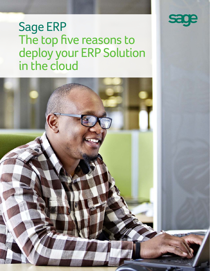

# Sage ERP The top five reasons to deploy your ERP Solution in the cloud

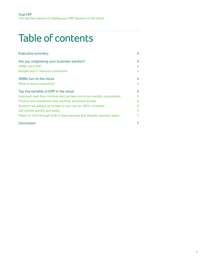## . . . . . . . . . . . . . . . . . Table of contents

| <b>Executive summary</b>                                                 | 3 |
|--------------------------------------------------------------------------|---|
| Are you outgrowing your business solution?                               | 3 |
| <b>SMBs want ERP</b>                                                     | 3 |
| Budget and IT resource constraints                                       | 4 |
| SMBs turn to the cloud                                                   | 4 |
| What is cloud computing?                                                 | 5 |
| Top five benefits of ERP in the cloud                                    | 5 |
| Improved cash flow, minimal start-up fees and a low monthly subscription | 5 |
| Finance and operations have anytime, anywhere access                     | 6 |
| Systems are always up to date so you can be 100% compliant               | 6 |
| Get started quickly and easily                                           | 6 |
| Peace of mind through built-in data backups and disaster recovery plans  |   |
| Conclusion                                                               |   |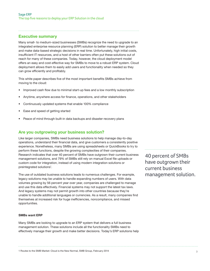## **Executive summary**

Many small- to medium-sized businesses (SMBs) recognize the need to upgrade to an integrated enterprise resource planning (ERP) solution to better manage their growth and make data-based strategic decisions in real time. Unfortunately, high initial costs, insufficient IT resources, and a host of other barriers often put these solutions out of reach for many of these companies. Today, however, the cloud deployment model offers an easy and cost-effective way for SMBs to move to a robust ERP system. Cloud deployment allows them to easily add users and functionality when needed so they can grow efficiently and profitably.

This white paper describes five of the most important benefits SMBs achieve from moving to the cloud:

- Improved cash flow due to minimal start-up fees and a low monthly subscription
- Anytime, anywhere access for finance, operations, and other stakeholders
- Continuously updated systems that enable 100% compliance
- Ease and speed of getting started
- Peace of mind through built-in data backups and disaster recovery plans

## **Are you outgrowing your business solution?**

Like larger companies, SMBs need business solutions to help manage day-to-day operations, understand their financial data, and give customers a consistently positive experience. Nonetheless, many SMBs are using spreadsheets or QuickBooks to try to perform these functions, despite the growing complexities of their companies. Research indicates that over 40 percent of SMBs have outgrown their current business management solutions, and 79% of SMBs still rely on manual Excel file uploads or custom code for integration, instead of using modern integration solutions or preintegrated solutions<sup>1</sup>.

The use of outdated business solutions leads to numerous challenges. For example, legacy solutions may be unable to handle expanding numbers of users. With data volumes growing by 56 percent year over year, companies are challenged to manage and use this data effectively. Financial systems may not support the latest tax laws. And legacy systems may not permit growth into other countries because they're unable to handle additional languages or currencies. As a result, many companies find themselves at increased risk for huge inefficiencies, noncompliance, and missed opportunities.

## **SMBs want ERP**

Many SMBs are looking to upgrade to an ERP system that delivers a full business management solution. These solutions include all the functionality SMBs need to effectively manage their growth and make better decisions. Today's ERP solutions help 40 percent of SMBs have outgrown their current business management solution.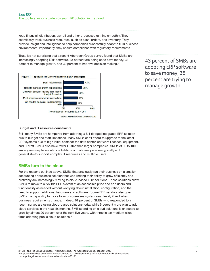keep financial, distribution, payroll and other processes running smoothly. They seamlessly track business resources, such as cash, orders, and inventory. They provide insight and intelligence to help companies successfully adapt to fluid business environments. Importantly, they ensure compliance with regulatory requirements.

Thus, it's not surprising that a recent Aberdeen Group survey found that SMBs are increasingly adopting ERP software. 43 percent are doing so to save money, 38 percent to manage growth, and 30 percent to improve decision making. $2$ 



43 percent of SMBs are adopting ERP software to save money; 38 percent are trying to manage growth.

## **Budget and IT resource constraints**

Still, many SMBs are hampered from adopting a full-fledged integrated ERP solution due to budget and staff limitations. Many SMBs can't afford to upgrade to the latest ERP systems due to high initial costs for the data center, software licenses, equipment, and IT staff. SMBs also have fewer IT staff than larger companies. SMBs of 50 to 100 employees may have only one full-time or part-time person—typically an IT generalist—to support complex IT resources and multiple users.

## **SMBs turn to the cloud**

For the reasons outlined above, SMBs that previously ran their business on a smaller accounting or business solution that was limiting their ability to grow efficiently and profitably are increasingly moving to cloud-based ERP solutions. These solutions allow SMBs to move to a flexible ERP system at an accessible price and add users and functionality as needed without worrying about installation, configuration, and the need to support additional hardware and software. Some ERP vendors also give SMBs the capability to move to an on-premises system seamlessly if and when business requirements change. Indeed, 61 percent of SMBs who responded to a recent survey are using cloud-based solutions today while 5 percent more plan to add cloud services in the next six months. SMB spending on cloud solutions is expected to grow by almost 20 percent over the next five years, with three in ten medium-sized firms adopting public cloud solutions.<sup>3</sup>

2 "ERP and the Small Business", Nick Castellina, The Aberdeen Group, January 2013

3 http://www.forbes.com/sites/louiscolumbus/2013/07/30/roundup-of-small-medium-business-cloud

computing-forecasts-and-market-estimates-2013/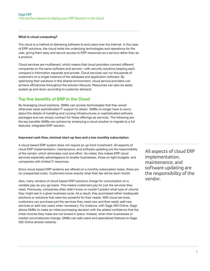## **What is cloud computing?**

The cloud is a method of delivering software to end users over the Internet. In the case of ERP solutions, the cloud holds the underlying technologies and operations for the user, giving them easy and secure access to ERP resources as a service rather than as a product.

Cloud services are multitenant, which means that cloud providers connect different companies on the same software and servers—with security solutions keeping each company's information separate and private. Cloud services can run thousands of customers on a single instance of the database and application software. By optimizing their solutions in this shared environment, cloud service providers can achieve efficiencies throughout the solution lifecycle. Resources can also be easily scaled up and down according to customer demand.

## **Top five benefits of ERP in the Cloud**

By leveraging cloud solutions, SMBs can access technologies that they would otherwise need sophisticated IT support to obtain. SMBs no longer have to worry about the details of installing and running infrastructures or sophisticated software packages and can simply contract for these offerings as services. The following are the key benefits SMBs can achieve by employing a cloud solution to migrate to a full featured, integrated ERP solution.

#### **Improved cash flow, minimal start-up fees and a low monthly subscription**

A cloud-based ERP system does not require an up-front investment. All aspects of cloud ERP implementation, maintenance, and software updating are the responsibility of the vendor, which eliminates cost and effort. As noted, this makes ERP cloud services especially advantageous to smaller businesses, those on tight budgets, and companies with limited IT resources.

Since cloud-based ERP systems are offered on a monthly subscription basis, there are no unexpected costs. Customers know exactly what their fee will be each month.

Also, many vendors of cloud-based ERP solutions charge for consumption on a variable pay-as-you-go basis. This means customers pay for just the services they need. Previously, companies often didn't know or couldn't predict what type of volume they might see in a given business cycle. As a result, they purchased either inadequate solutions or solutions that were too powerful for their needs. With cloud services, customers can purchase just the services they need now and then easily add new services or add new users when necessary. For instance, with Sage 300 Online, Sage allows SMBs to make an initial purchasing decision with the added confidence that the initial choices they make are not locked in place. Instead, when their businesses or market circumstances change, SMBs can add users and specialized features to Sage 300 Online almost instantly.

All aspects of cloud ERP implementation, maintenance, and software updating are the responsibility of the vendor.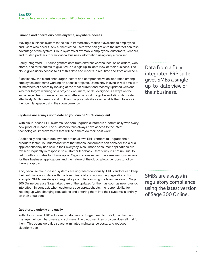#### **Finance and operations have anytime, anywhere access**

Moving a business system to the cloud immediately makes it available to employees and users who need it. Any authenticated users who can get onto the Internet can take advantage of the system. Cloud systems allow mobile employees, customers, vendors, and trusted partners to view critical business information using only a browser.

A fully integrated ERP suite gathers data from different warehouses, sales orders, web stores, and retail outlets to give SMBs a single up-to-date view of their business. The cloud gives users access to all of this data and reports in real time and from anywhere.

Significantly, the cloud encourages instant and comprehensive collaboration among employees and teams working on specific projects. Users stay in sync in real time with all members of a team by looking at the most current and recently updated versions. Whether they're working on a project, document, or file, everyone is always on the same page. Team members can be scattered around the globe and still collaborate effectively. Multicurrency and multilanguage capabilities even enable them to work in their own language using their own currency.

#### **Systems are always up to date so you can be 100% compliant**

With cloud-based ERP systems, vendors upgrade customers automatically with every new product release. The customers thus always have access to the latest technological improvements that will help them do their best work.

Additionally, the cloud deployment option allows ERP vendors to upgrade their products faster. To understand what that means, consumers can consider the cloud applications they use now in their everyday lives. Those consumer applications are revised frequently in response to customer feedback—that's why it's not unusual to get monthly updates to iPhone apps. Organizations expect the same responsiveness for their business applications and the nature of the cloud allows vendors to follow through rapidly.

And, because cloud-based systems are upgraded continually, ERP vendors can keep their solutions up to date with the latest financial and accounting regulations. For example, SMBs are always in regulatory compliance using the latest version of Sage 300 Online because Sage takes care of the updates for them as soon as new rules go into effect. In contrast, when customers use spreadsheets, the responsibility for keeping up with changing regulations and entering them into their systems is entirely on their shoulders.

#### **Get started quickly and easily**

With cloud-based ERP solutions, customers no longer need to install, maintain, and manage their own hardware and software. The cloud services provider does all that for them. This opens up office space, eliminates maintenance costs, and reduces electricity use.

Data from a fully integrated ERP suite gives SMBs a single up-to-date view of their business.

SMBs are always in regulatory compliance using the latest version of Sage 300 Online.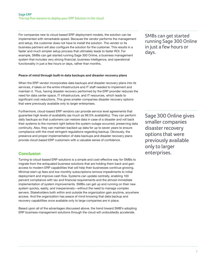For companies new to cloud-based ERP deployment models, the solution can be implemented with remarkable speed. Because the vendor performs the management and setup, the customer does not have to install the solution. The vendor or its business partners will also configure the solution for the customer. This results in a faster and much simpler setup process that ultimately leads to faster ROI. For example, SMBs can get started running Sage 300 Online, a business management system that includes very strong financial, business intelligence, and operational functionality in just a few hours or days, rather than months.

#### **Peace of mind through built-in data backups and disaster recovery plans**

When the ERP vendor incorporates data backups and disaster recovery plans into its services, it takes on the entire infrastructure and IT staff needed to implement and maintain it. Thus, having disaster recovery performed by the ERP provider reduces the need for data center space, IT infrastructure, and IT resources, which leads to significant cost reductions. This gives smaller companies disaster recovery options that were previously available only to larger enterprises.

Furthermore, cloud-based ERP vendors can provide service level agreements that guarantee high levels of availability (as much as 99.5% availability). They can perform daily backups so that customers can restore data in case of a disaster and roll back their systems to the moment right before the system outage occurred, preserving data continuity. Also, they can maintain backed-up data for up to seven years to ensure compliance with the most stringent regulations regarding backup. Obviously, the presence and proper implementation of data backups and disaster recovery plans provide cloud-based ERP customers with a valuable sense of confidence.

## **Conclusion**

Turning to cloud-based ERP solutions is a simple and cost-effective way for SMBs to migrate from the antiquated business solutions that are holding them back and gain access to modern ERP capabilities that will help their businesses continue growing. Minimal start-up fees and low monthly subscriptions remove impediments to initial deployment and improve cash flow. Systems can update centrally, enabling 100 percent compliance with tax and financial requirements and the almost immediate implementation of system improvements. SMBs can get up and running on their new system quickly, easily, and inexpensively—without the need to manage complex servers. Stakeholders both within and outside the organization gain anytime, anywhere access. And the organization has peace of mind knowing that data backup and recovery capabilities once available only to large companies are in place.

Based upon all of the advantages discussed above, the trend toward SMB's adopting ERP business management solutions through the cloud will undoubtedly accelerate.

SMBs can get started running Sage 300 Online in just a few hours or days.

Sage 300 Online gives smaller companies disaster recovery options that were previously available only to larger enterprises.